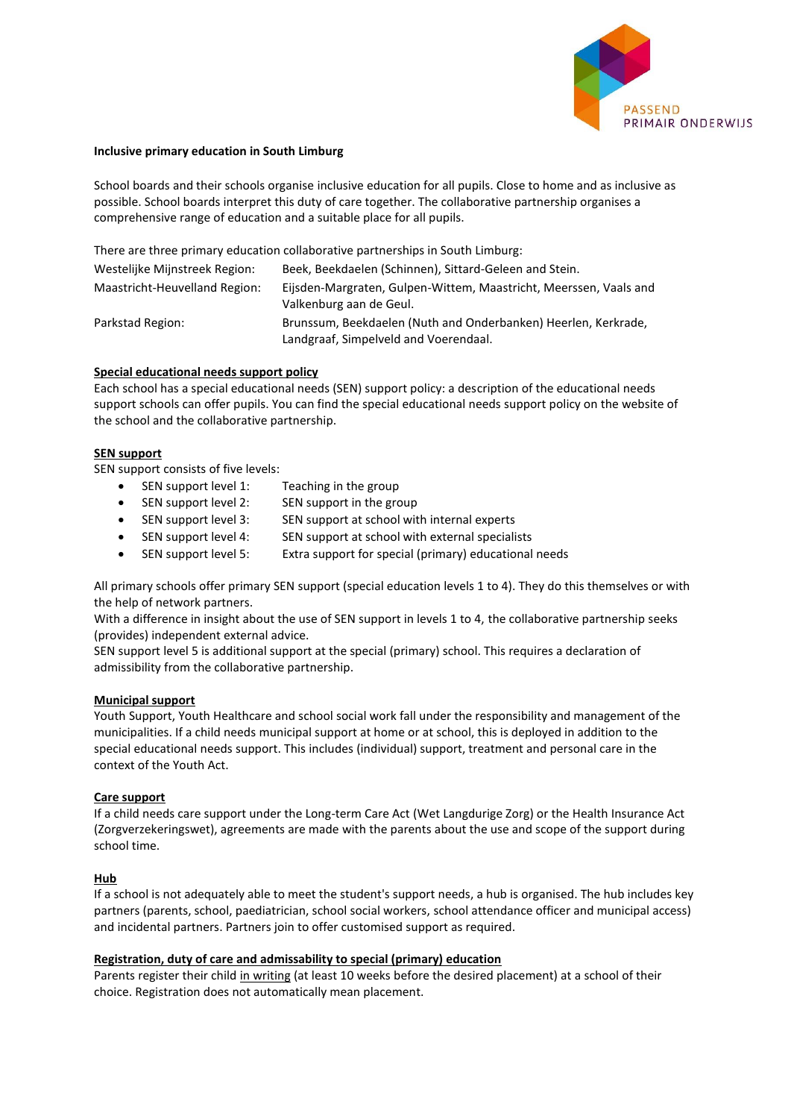

## **Inclusive primary education in South Limburg**

School boards and their schools organise inclusive education for all pupils. Close to home and as inclusive as possible. School boards interpret this duty of care together. The collaborative partnership organises a comprehensive range of education and a suitable place for all pupils.

There are three primary education collaborative partnerships in South Limburg:

| Westelijke Mijnstreek Region: | Beek, Beekdaelen (Schinnen), Sittard-Geleen and Stein.                                                  |
|-------------------------------|---------------------------------------------------------------------------------------------------------|
| Maastricht-Heuvelland Region: | Eijsden-Margraten, Gulpen-Wittem, Maastricht, Meerssen, Vaals and<br>Valkenburg aan de Geul.            |
| Parkstad Region:              | Brunssum, Beekdaelen (Nuth and Onderbanken) Heerlen, Kerkrade,<br>Landgraaf, Simpelveld and Voerendaal. |

## **Special educational needs support policy**

Each school has a special educational needs (SEN) support policy: a description of the educational needs support schools can offer pupils. You can find the special educational needs support policy on the website of the school and the collaborative partnership.

## **SEN support**

SEN support consists of five levels:

- SEN support level 1: Teaching in the group
- SEN support level 2: SEN support in the group
- SEN support level 3: SEN support at school with internal experts
- SEN support level 4: SEN support at school with external specialists
- SEN support level 5: Extra support for special (primary) educational needs

All primary schools offer primary SEN support (special education levels 1 to 4). They do this themselves or with the help of network partners.

With a difference in insight about the use of SEN support in levels 1 to 4, the collaborative partnership seeks (provides) independent external advice.

SEN support level 5 is additional support at the special (primary) school. This requires a declaration of admissibility from the collaborative partnership.

# **Municipal support**

Youth Support, Youth Healthcare and school social work fall under the responsibility and management of the municipalities. If a child needs municipal support at home or at school, this is deployed in addition to the special educational needs support. This includes (individual) support, treatment and personal care in the context of the Youth Act.

# **Care support**

If a child needs care support under the Long-term Care Act (Wet Langdurige Zorg) or the Health Insurance Act (Zorgverzekeringswet), agreements are made with the parents about the use and scope of the support during school time.

# **Hub**

If a school is not adequately able to meet the student's support needs, a hub is organised. The hub includes key partners (parents, school, paediatrician, school social workers, school attendance officer and municipal access) and incidental partners. Partners join to offer customised support as required.

# **Registration, duty of care and admissability to special (primary) education**

Parents register their child in writing (at least 10 weeks before the desired placement) at a school of their choice. Registration does not automatically mean placement.